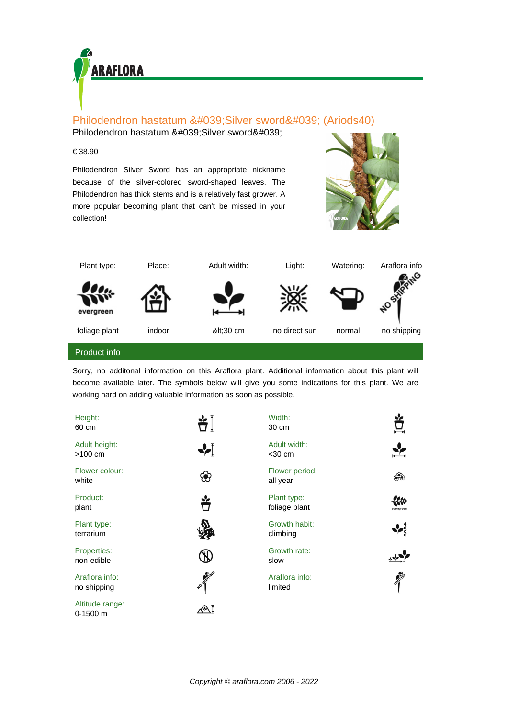

## Philodendron hastatum ' Silver sword' (Ariods40)

Philodendron hastatum ' Silver sword'

## € 38.90

Philodendron Silver Sword has an appropriate nickname because of the silver-colored sword-shaped leaves. The Philodendron has thick stems and is a relatively fast grower. A more popular becoming plant that can't be missed in your collection!





Sorry, no additonal information on this Araflora plant. Additional information about this plant will become available later. The symbols below will give you some indications for this plant. We are working hard on adding valuable information as soon as possible.

| Height:<br>60 cm              | 当Ì                | Width:<br>30 cm              |              |
|-------------------------------|-------------------|------------------------------|--------------|
| Adult height:<br>$>100$ cm    | ∙∕                | Adult width:<br>$<$ 30 cm    |              |
| Flower colour:<br>white       | සි                | Flower period:<br>all year   | ෯ෙ           |
| Product:<br>plant             |                   | Plant type:<br>foliage plant | erareen      |
| Plant type:<br>terrarium      |                   | Growth habit:<br>climbing    |              |
| Properties:<br>non-edible     |                   | Growth rate:<br>slow         |              |
| Araflora info:<br>no shipping | <b>HOSHIPPING</b> | Araflora info:<br>limited    | <b>Light</b> |
| Altitude range:<br>$0-1500$ m | ⇙ૉ                |                              |              |